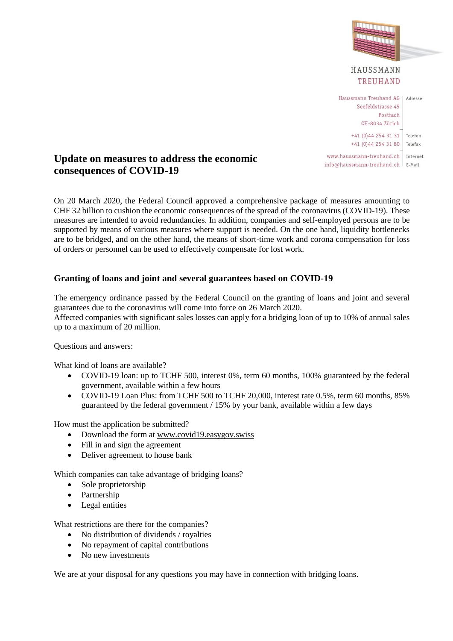

# **Update on measures to address the economic consequences of COVID-19**

On 20 March 2020, the Federal Council approved a comprehensive package of measures amounting to CHF 32 billion to cushion the economic consequences of the spread of the coronavirus (COVID-19). These measures are intended to avoid redundancies. In addition, companies and self-employed persons are to be supported by means of various measures where support is needed. On the one hand, liquidity bottlenecks are to be bridged, and on the other hand, the means of short-time work and corona compensation for loss of orders or personnel can be used to effectively compensate for lost work.

## **Granting of loans and joint and several guarantees based on COVID-19**

The emergency ordinance passed by the Federal Council on the granting of loans and joint and several guarantees due to the coronavirus will come into force on 26 March 2020. Affected companies with significant sales losses can apply for a bridging loan of up to 10% of annual sales up to a maximum of 20 million.

Questions and answers:

What kind of loans are available?

- COVID-19 loan: up to TCHF 500, interest 0%, term 60 months, 100% guaranteed by the federal government, available within a few hours
- COVID-19 Loan Plus: from TCHF 500 to TCHF 20,000, interest rate 0.5%, term 60 months, 85% guaranteed by the federal government / 15% by your bank, available within a few days

How must the application be submitted?

- Download the form at www.covid19.easygov.swiss
- Fill in and sign the agreement
- Deliver agreement to house bank

Which companies can take advantage of bridging loans?

- Sole proprietorship
- Partnership
- Legal entities

What restrictions are there for the companies?

- No distribution of dividends / royalties
- No repayment of capital contributions
- No new investments

We are at your disposal for any questions you may have in connection with bridging loans.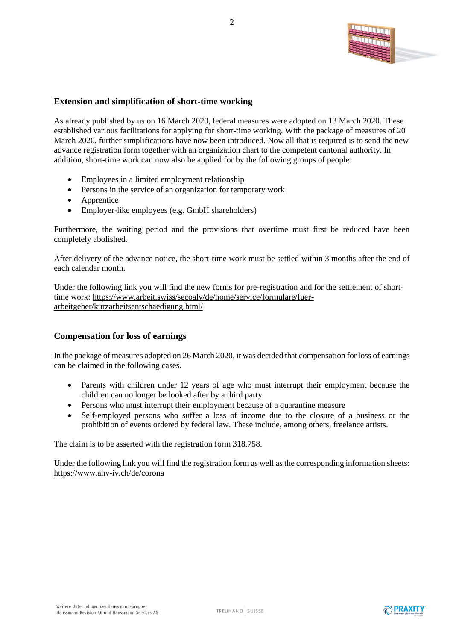

#### **Extension and simplification of short-time working**

As already published by us on 16 March 2020, federal measures were adopted on 13 March 2020. These established various facilitations for applying for short-time working. With the package of measures of 20 March 2020, further simplifications have now been introduced. Now all that is required is to send the new advance registration form together with an organization chart to the competent cantonal authority. In addition, short-time work can now also be applied for by the following groups of people:

- Employees in a limited employment relationship
- Persons in the service of an organization for temporary work
- Apprentice
- Employer-like employees (e.g. GmbH shareholders)

Furthermore, the waiting period and the provisions that overtime must first be reduced have been completely abolished.

After delivery of the advance notice, the short-time work must be settled within 3 months after the end of each calendar month.

Under the following link you will find the new forms for pre-registration and for the settlement of shorttime work: https://www.arbeit.swiss/secoalv/de/home/service/formulare/fuerarbeitgeber/kurzarbeitsentschaedigung.html/

#### **Compensation for loss of earnings**

In the package of measures adopted on 26 March 2020, it was decided that compensation for loss of earnings can be claimed in the following cases.

- Parents with children under 12 years of age who must interrupt their employment because the children can no longer be looked after by a third party
- Persons who must interrupt their employment because of a quarantine measure
- Self-employed persons who suffer a loss of income due to the closure of a business or the prohibition of events ordered by federal law. These include, among others, freelance artists.

The claim is to be asserted with the registration form 318.758.

Under the following link you will find the registration form as well as the corresponding information sheets: https://www.ahv-iv.ch/de/corona